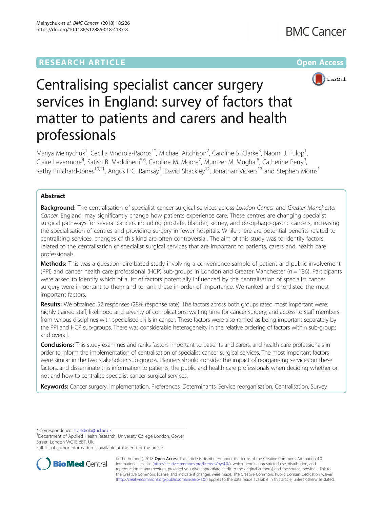## **RESEARCH ARTICLE Example 2014 12:30 The Contract of Contract Article 2014**



# Centralising specialist cancer surgery services in England: survey of factors that matter to patients and carers and health professionals

Mariya Melnychuk<sup>1</sup>, Cecilia Vindrola-Padros<sup>1\*</sup>, Michael Aitchison<sup>2</sup>, Caroline S. Clarke<sup>3</sup>, Naomi J. Fulop<sup>1</sup> , Claire Levermore<sup>4</sup>, Satish B. Maddineni<sup>5,6</sup>, Caroline M. Moore<sup>7</sup>, Muntzer M. Mughal<sup>8</sup>, Catherine Perry<sup>9</sup> , Kathy Pritchard-Jones<sup>10,11</sup>, Angus I. G. Ramsay<sup>1</sup>, David Shackley<sup>12</sup>, Jonathan Vickers<sup>13</sup> and Stephen Morris<sup>1</sup>

## Abstract

**Background:** The centralisation of specialist cancer surgical services across London Cancer and Greater Manchester Cancer, England, may significantly change how patients experience care. These centres are changing specialist surgical pathways for several cancers including prostate, bladder, kidney, and oesophago-gastric cancers, increasing the specialisation of centres and providing surgery in fewer hospitals. While there are potential benefits related to centralising services, changes of this kind are often controversial. The aim of this study was to identify factors related to the centralisation of specialist surgical services that are important to patients, carers and health care professionals.

Methods: This was a questionnaire-based study involving a convenience sample of patient and public involvement (PPI) and cancer health care professional (HCP) sub-groups in London and Greater Manchester ( $n = 186$ ). Participants were asked to identify which of a list of factors potentially influenced by the centralisation of specialist cancer surgery were important to them and to rank these in order of importance. We ranked and shortlisted the most important factors.

Results: We obtained 52 responses (28% response rate). The factors across both groups rated most important were: highly trained staff; likelihood and severity of complications; waiting time for cancer surgery; and access to staff members from various disciplines with specialised skills in cancer. These factors were also ranked as being important separately by the PPI and HCP sub-groups. There was considerable heterogeneity in the relative ordering of factors within sub-groups and overall.

Conclusions: This study examines and ranks factors important to patients and carers, and health care professionals in order to inform the implementation of centralisation of specialist cancer surgical services. The most important factors were similar in the two stakeholder sub-groups. Planners should consider the impact of reorganising services on these factors, and disseminate this information to patients, the public and health care professionals when deciding whether or not and how to centralise specialist cancer surgical services.

Keywords: Cancer surgery, Implementation, Preferences, Determinants, Service reorganisation, Centralisation, Survey

\* Correspondence: [c.vindrola@ucl.ac.uk](mailto:c.vindrola@ucl.ac.uk) <sup>1</sup>

<sup>1</sup>Department of Applied Health Research, University College London, Gower Street, London WC1E 6BT, UK

Full list of author information is available at the end of the article



© The Author(s). 2018 Open Access This article is distributed under the terms of the Creative Commons Attribution 4.0 International License [\(http://creativecommons.org/licenses/by/4.0/](http://creativecommons.org/licenses/by/4.0/)), which permits unrestricted use, distribution, and reproduction in any medium, provided you give appropriate credit to the original author(s) and the source, provide a link to the Creative Commons license, and indicate if changes were made. The Creative Commons Public Domain Dedication waiver [\(http://creativecommons.org/publicdomain/zero/1.0/](http://creativecommons.org/publicdomain/zero/1.0/)) applies to the data made available in this article, unless otherwise stated.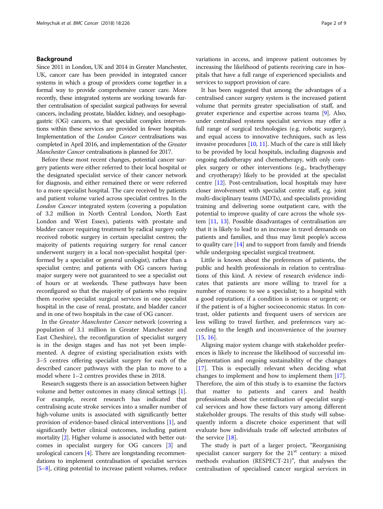## Background

Since 2011 in London, UK and 2014 in Greater Manchester, UK, cancer care has been provided in integrated cancer systems in which a group of providers come together in a formal way to provide comprehensive cancer care. More recently, these integrated systems are working towards further centralisation of specialist surgical pathways for several cancers, including prostate, bladder, kidney, and oesophagogastric (OG) cancers, so that specialist complex interventions within these services are provided in fewer hospitals. Implementation of the London Cancer centralisations was completed in April 2016, and implementation of the Greater Manchester Cancer centralisations is planned for 2017.

Before these most recent changes, potential cancer surgery patients were either referred to their local hospital or the designated specialist service of their cancer network for diagnosis, and either remained there or were referred to a more specialist hospital. The care received by patients and patient volume varied across specialist centres. In the London Cancer integrated system (covering a population of 3.2 million in North Central London, North East London and West Essex), patients with prostate and bladder cancer requiring treatment by radical surgery only received robotic surgery in certain specialist centres; the majority of patients requiring surgery for renal cancer underwent surgery in a local non-specialist hospital (performed by a specialist or general urologist), rather than a specialist centre; and patients with OG cancers having major surgery were not guaranteed to see a specialist out of hours or at weekends. These pathways have been reconfigured so that the majority of patients who require them receive specialist surgical services in one specialist hospital in the case of renal, prostate, and bladder cancer and in one of two hospitals in the case of OG cancer.

In the Greater Manchester Cancer network (covering a population of 3.1 million in Greater Manchester and East Cheshire), the reconfiguration of specialist surgery is in the design stages and has not yet been implemented. A degree of existing specialisation exists with 3–5 centres offering specialist surgery for each of the described cancer pathways with the plan to move to a model where 1–2 centres provides these in 2018.

Research suggests there is an association between higher volume and better outcomes in many clinical settings [[1](#page-8-0)]. For example, recent research has indicated that centralising acute stroke services into a smaller number of high-volume units is associated with significantly better provision of evidence-based clinical interventions [\[1](#page-8-0)], and significantly better clinical outcomes, including patient mortality [\[2\]](#page-8-0). Higher volume is associated with better outcomes in specialist surgery for OG cancers [\[3\]](#page-8-0) and urological cancers [[4\]](#page-8-0). There are longstanding recommendations to implement centralisation of specialist services [[5](#page-8-0)–[8](#page-8-0)], citing potential to increase patient volumes, reduce variations in access, and improve patient outcomes by increasing the likelihood of patients receiving care in hospitals that have a full range of experienced specialists and services to support provision of care.

It has been suggested that among the advantages of a centralised cancer surgery system is the increased patient volume that permits greater specialisation of staff, and greater experience and expertise across teams [[9\]](#page-8-0). Also, under centralised systems specialist services may offer a full range of surgical technologies (e.g. robotic surgery), and equal access to innovative techniques, such as less invasive procedures  $[10, 11]$  $[10, 11]$  $[10, 11]$  $[10, 11]$ . Much of the care is still likely to be provided by local hospitals, including diagnosis and ongoing radiotherapy and chemotherapy, with only complex surgery or other interventions (e.g., brachytherapy and cryotherapy) likely to be provided at the specialist centre [\[12\]](#page-8-0). Post-centralisation, local hospitals may have closer involvement with specialist centre staff, e.g. joint multi-disciplinary teams (MDTs), and specialists providing training and delivering some outpatient care, with the potential to improve quality of care across the whole system [\[11,](#page-8-0) [13\]](#page-8-0). Possible disadvantages of centralisation are that it is likely to lead to an increase in travel demands on patients and families, and thus may limit people's access to quality care  $[14]$  $[14]$  and to support from family and friends while undergoing specialist surgical treatment.

Little is known about the preferences of patients, the public and health professionals in relation to centralisations of this kind. A review of research evidence indicates that patients are more willing to travel for a number of reasons: to see a specialist; to a hospital with a good reputation; if a condition is serious or urgent; or if the patient is of a higher socioeconomic status. In contrast, older patients and frequent users of services are less willing to travel further, and preferences vary according to the length and inconvenience of the journey [[15,](#page-8-0) [16\]](#page-8-0).

Aligning major system change with stakeholder preferences is likely to increase the likelihood of successful implementation and ongoing sustainability of the changes [[17\]](#page-8-0). This is especially relevant when deciding what changes to implement and how to implement them [\[17](#page-8-0)]. Therefore, the aim of this study is to examine the factors that matter to patients and carers and health professionals about the centralisation of specialist surgical services and how these factors vary among different stakeholder groups. The results of this study will subsequently inform a discrete choice experiment that will evaluate how individuals trade off selected attributes of the service [[18](#page-8-0)].

The study is part of a larger project, "Reorganising specialist cancer surgery for the  $21<sup>st</sup>$  century: a mixed methods evaluation (RESPECT-21)", that analyses the centralisation of specialised cancer surgical services in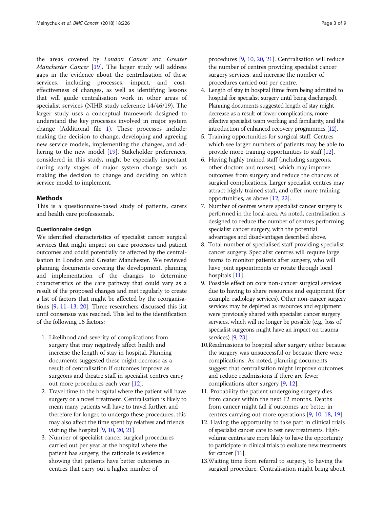the areas covered by London Cancer and Greater Manchester Cancer [[19](#page-8-0)]. The larger study will address gaps in the evidence about the centralisation of these services, including processes, impact, and costeffectiveness of changes, as well as identifying lessons that will guide centralisation work in other areas of specialist services (NIHR study reference 14/46/19). The larger study uses a conceptual framework designed to understand the key processes involved in major system change (Additional file [1\)](#page-7-0). These processes include: making the decision to change, developing and agreeing new service models, implementing the changes, and ad-hering to the new model [[19\]](#page-8-0). Stakeholder preferences, considered in this study, might be especially important during early stages of major system change such as making the decision to change and deciding on which service model to implement.

## Methods

This is a questionnaire-based study of patients, carers and health care professionals.

## Questionnaire design

We identified characteristics of specialist cancer surgical services that might impact on care processes and patient outcomes and could potentially be affected by the centralisation in London and Greater Manchester. We reviewed planning documents covering the development, planning and implementation of the changes to determine characteristics of the care pathway that could vary as a result of the proposed changes and met regularly to create a list of factors that might be affected by the reorganisations [\[9,](#page-8-0) [11](#page-8-0)–[13,](#page-8-0) [20](#page-8-0)]. Three researchers discussed this list until consensus was reached. This led to the identification of the following 16 factors:

- 1. Likelihood and severity of complications from surgery that may negatively affect health and increase the length of stay in hospital. Planning documents suggested these might decrease as a result of centralisation if outcomes improve as surgeons and theatre staff in specialist centres carry out more procedures each year [\[12\]](#page-8-0).
- 2. Travel time to the hospital where the patient will have surgery or a novel treatment. Centralisation is likely to mean many patients will have to travel further, and therefore for longer, to undergo these procedures; this may also affect the time spent by relatives and friends visiting the hospital [[9](#page-8-0), [10](#page-8-0), [20,](#page-8-0) [21\]](#page-8-0).
- 3. Number of specialist cancer surgical procedures carried out per year at the hospital where the patient has surgery; the rationale is evidence showing that patients have better outcomes in centres that carry out a higher number of

procedures [[9,](#page-8-0) [10](#page-8-0), [20](#page-8-0), [21\]](#page-8-0). Centralisation will reduce the number of centres providing specialist cancer surgery services, and increase the number of procedures carried out per centre.

- 4. Length of stay in hospital (time from being admitted to hospital for specialist surgery until being discharged). Planning documents suggested length of stay might decrease as a result of fewer complications, more effective specialist team working and familiarity, and the introduction of enhanced recovery programmes [[12\]](#page-8-0).
- 5. Training opportunities for surgical staff. Centres which see larger numbers of patients may be able to provide more training opportunities to staff [\[12\]](#page-8-0).
- 6. Having highly trained staff (including surgeons, other doctors and nurses), which may improve outcomes from surgery and reduce the chances of surgical complications. Larger specialist centres may attract highly trained staff, and offer more training opportunities, as above [\[12,](#page-8-0) [22\]](#page-8-0).
- 7. Number of centres where specialist cancer surgery is performed in the local area. As noted, centralisation is designed to reduce the number of centres performing specialist cancer surgery, with the potential advantages and disadvantages described above.
- 8. Total number of specialised staff providing specialist cancer surgery. Specialist centres will require large teams to monitor patients after surgery, who will have joint appointments or rotate through local hospitals [[11](#page-8-0)].
- 9. Possible effect on core non-cancer surgical services due to having to share resources and equipment (for example, radiology services). Other non-cancer surgery services may be depleted as resources and equipment were previously shared with specialist cancer surgery services, which will no longer be possible (e.g., loss of specialist surgeons might have an impact on trauma services) [[9](#page-8-0), [23](#page-8-0)].
- 10.Readmissions to hospital after surgery either because the surgery was unsuccessful or because there were complications. As noted, planning documents suggest that centralisation might improve outcomes and reduce readmissions if there are fewer complications after surgery [[9,](#page-8-0) [12](#page-8-0)].
- 11. Probability the patient undergoing surgery dies from cancer within the next 12 months. Deaths from cancer might fall if outcomes are better in centres carrying out more operations [\[9](#page-8-0), [10,](#page-8-0) [18,](#page-8-0) [19](#page-8-0)].
- 12. Having the opportunity to take part in clinical trials of specialist cancer care to test new treatments. Highvolume centres are more likely to have the opportunity to participate in clinical trials to evaluate new treatments for cancer [\[11](#page-8-0)].
- 13.Waiting time from referral to surgery, to having the surgical procedure. Centralisation might bring about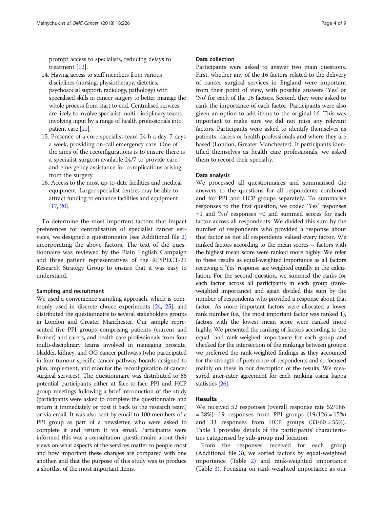prompt access to specialists, reducing delays to treatment [[12\]](#page-8-0).

- 14. Having access to staff members from various disciplines (nursing, physiotherapy, dietetics, psychosocial support, radiology, pathology) with specialised skills in cancer surgery to better manage the whole process from start to end. Centralised services are likely to involve specialist multi-disciplinary teams involving input by a range of health professionals into patient care [\[11](#page-8-0)].
- 15. Presence of a core specialist team 24 h a day, 7 days a week, providing on-call emergency care. One of the aims of the reconfigurations is to ensure there is a specialist surgeon available 24/7 to provide care and emergency assistance for complications arising from the surgery.
- 16. Access to the most up-to-date facilities and medical equipment. Larger specialist centres may be able to attract funding to enhance facilities and equipment [\[17,](#page-8-0) [20\]](#page-8-0).

To determine the most important factors that impact preferences for centralisation of specialist cancer services, we designed a questionnaire (see Additional file [2](#page-7-0)) incorporating the above factors. The text of the questionnaire was reviewed by the Plain English Campaign and three patient representatives of the RESPECT-21 Research Strategy Group to ensure that it was easy to understand.

### Sampling and recruitment

We used a convenience sampling approach, which is commonly used in discrete choice experiments [\[24](#page-8-0), [25](#page-8-0)], and distributed the questionnaire to several stakeholders groups in London and Greater Manchester. Our sample represented five PPI groups comprising patients (current and former) and carers, and health care professionals from four multi-disciplinary teams involved in managing prostate, bladder, kidney, and OG cancer pathways (who participated in four tumour-specific cancer pathway boards designed to plan, implement, and monitor the reconfiguration of cancer surgical services). The questionnaire was distributed to 86 potential participants either at face-to-face PPI and HCP group meetings following a brief introduction of the study (participants were asked to complete the questionnaire and return it immediately or post it back to the research team) or via email. It was also sent by email to 100 members of a PPI group as part of a newsletter, who were asked to complete it and return it via email. Participants were informed this was a consultation questionnaire about their views on what aspects of the services matter to people most and how important these changes are compared with one another, and that the purpose of this study was to produce a shortlist of the most important items.

## Data collection

Participants were asked to answer two main questions. First, whether any of the 16 factors related to the delivery of cancer surgical services in England were important from their point of view, with possible answers 'Yes' or 'No' for each of the 16 factors. Second, they were asked to rank the importance of each factor. Participants were also given an option to add items to the original 16. This was important to make sure we did not miss any relevant factors. Participants were asked to identify themselves as patients, carers or health professionals and where they are based (London, Greater Manchester). If participants identified themselves as health care professionals, we asked them to record their specialty.

### Data analysis

We processed all questionnaires and summarised the answers to the questions for all respondents combined and for PPI and HCP groups separately. To summarise responses to the first question, we coded 'Yes' responses =1 and 'No' responses =0 and summed scores for each factor across all respondents. We divided this sum by the number of respondents who provided a response about that factor as not all respondents valued every factor. We ranked factors according to the mean scores – factors with the highest mean score were ranked more highly. We refer to these results as equal-weighted importance as all factors receiving a 'Yes' response are weighted equally in the calculation. For the second question, we summed the ranks for each factor across all participants in each group (rankweighted importance) and again divided this sum by the number of respondents who provided a response about that factor. As more important factors were allocated a lower rank number (i.e., the most important factor was ranked 1), factors with the lowest mean score were ranked more highly. We presented the ranking of factors according to the equal- and rank-weighed importance for each group and checked for the intersection of the rankings between groups; we preferred the rank-weighted findings as they accounted for the strength of preference of respondents and so focused mainly on these in our description of the results. We measured inter-rater agreement for each ranking using kappa statistics [[26\]](#page-8-0).

## Results

We received 52 responses (overall response rate 52/186  $= 28\%$ : 19 responses from PPI groups  $(19/126 = 15\%)$ and 33 responses from HCP groups (33/60 = 55%). Table [1](#page-4-0) provides details of the participants' characteristics categorised by sub-group and location.

From the responses received for each group (Additional file [3\)](#page-7-0), we sorted factors by equal-weighted importance (Table [2](#page-5-0)) and rank-weighted importance (Table [3](#page-6-0)). Focusing on rank-weighted importance as our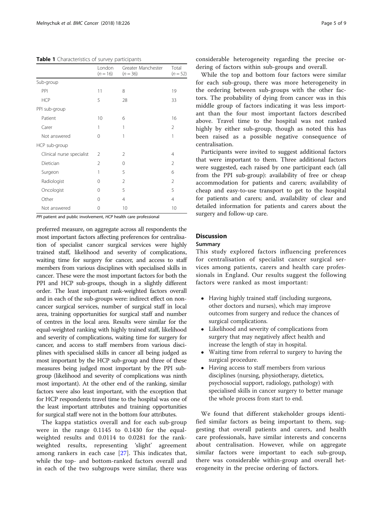<span id="page-4-0"></span>Table 1 Characteristics of survey participants

|                           | London<br>$(n = 16)$ | Greater Manchester<br>$(n = 36)$ | Total<br>$(n = 52)$ |
|---------------------------|----------------------|----------------------------------|---------------------|
| Sub-group                 |                      |                                  |                     |
| PPI                       | 11                   | 8                                | 19                  |
| <b>HCP</b>                | 5                    | 28                               | 33                  |
| PPI sub-group             |                      |                                  |                     |
| Patient                   | 10                   | 6                                | 16                  |
| Carer                     | 1                    | 1                                | $\overline{2}$      |
| Not answered              | 0                    | 1                                | 1                   |
| HCP sub-group             |                      |                                  |                     |
| Clinical nurse specialist | 2                    | $\overline{2}$                   | $\overline{4}$      |
| Dietician                 | 2                    | $\Omega$                         | $\overline{2}$      |
| Surgeon                   | 1                    | 5                                | 6                   |
| Radiologist               | 0                    | $\overline{2}$                   | $\overline{2}$      |
| Oncologist                | $\Omega$             | 5                                | 5                   |
| Other                     | $\Omega$             | $\overline{4}$                   | 4                   |
| Not answered              | 0                    | 10                               | 10                  |

PPI patient and public involvement, HCP health care professional

preferred measure, on aggregate across all respondents the most important factors affecting preferences for centralisation of specialist cancer surgical services were highly trained staff, likelihood and severity of complications, waiting time for surgery for cancer, and access to staff members from various disciplines with specialised skills in cancer. These were the most important factors for both the PPI and HCP sub-groups, though in a slightly different order. The least important rank-weighted factors overall and in each of the sub-groups were: indirect effect on noncancer surgical services, number of surgical staff in local area, training opportunities for surgical staff and number of centres in the local area. Results were similar for the equal-weighted ranking with highly trained staff, likelihood and severity of complications, waiting time for surgery for cancer, and access to staff members from various disciplines with specialised skills in cancer all being judged as most important by the HCP sub-group and three of these measures being judged most important by the PPI subgroup (likelihood and severity of complications was ninth most important). At the other end of the ranking, similar factors were also least important, with the exception that for HCP respondents travel time to the hospital was one of the least important attributes and training opportunities for surgical staff were not in the bottom four attributes.

The kappa statistics overall and for each sub-group were in the range 0.1145 to 0.1430 for the equalweighted results and 0.0114 to 0.0281 for the rankweighted results, representing 'slight' agreement among rankers in each case [[27](#page-8-0)]. This indicates that, while the top- and bottom-ranked factors overall and in each of the two subgroups were similar, there was considerable heterogeneity regarding the precise ordering of factors within sub-groups and overall.

While the top and bottom four factors were similar for each sub-group, there was more heterogeneity in the ordering between sub-groups with the other factors. The probability of dying from cancer was in this middle group of factors indicating it was less important than the four most important factors described above. Travel time to the hospital was not ranked highly by either sub-group, though as noted this has been raised as a possible negative consequence of centralisation.

Participants were invited to suggest additional factors that were important to them. Three additional factors were suggested, each raised by one participant each (all from the PPI sub-group): availability of free or cheap accommodation for patients and carers; availability of cheap and easy-to-use transport to get to the hospital for patients and carers; and, availability of clear and detailed information for patients and carers about the surgery and follow-up care.

## **Discussion**

## Summary

This study explored factors influencing preferences for centralisation of specialist cancer surgical services among patients, carers and health care professionals in England. Our results suggest the following factors were ranked as most important:

- Having highly trained staff (including surgeons, other doctors and nurses), which may improve outcomes from surgery and reduce the chances of surgical complications.
- Likelihood and severity of complications from surgery that may negatively affect health and increase the length of stay in hospital.
- Waiting time from referral to surgery to having the surgical procedure.
- Having access to staff members from various disciplines (nursing, physiotherapy, dietetics, psychosocial support, radiology, pathology) with specialised skills in cancer surgery to better manage the whole process from start to end.

We found that different stakeholder groups identified similar factors as being important to them, suggesting that overall patients and carers, and health care professionals, have similar interests and concerns about centralisation. However, while on aggregate similar factors were important to each sub-group, there was considerable within-group and overall heterogeneity in the precise ordering of factors.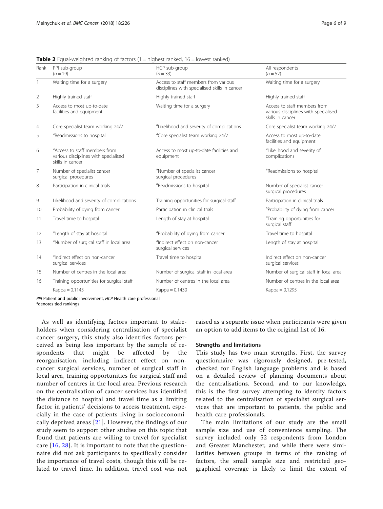| Rank | PPI sub-group<br>$(n = 19)$                                                                           | HCP sub-group<br>$(n = 33)$                                                                                         | All respondents<br>$(n = 52)$                                                            |
|------|-------------------------------------------------------------------------------------------------------|---------------------------------------------------------------------------------------------------------------------|------------------------------------------------------------------------------------------|
| -1   | Waiting time for a surgery                                                                            | Access to staff members from various<br>Waiting time for a surgery<br>disciplines with specialised skills in cancer |                                                                                          |
| 2    | Highly trained staff                                                                                  | Highly trained staff                                                                                                | Highly trained staff                                                                     |
| 3    | Access to most up-to-date<br>facilities and equipment                                                 | Waiting time for a surgery                                                                                          | Access to staff members from<br>various disciplines with specialised<br>skills in cancer |
| 4    | Core specialist team working 24/7                                                                     | <sup>a</sup> Likelihood and severity of complications                                                               | Core specialist team working 24/7                                                        |
| 5    | <sup>a</sup> Readmissions to hospital                                                                 | <sup>a</sup> Core specialist team working 24/7                                                                      | Access to most up-to-date<br>facilities and equipment                                    |
| 6    | <sup>a</sup> Access to staff members from<br>various disciplines with specialised<br>skills in cancer | Access to most up-to-date facilities and<br>equipment                                                               | <sup>a</sup> Likelihood and severity of<br>complications                                 |
| 7    | Number of specialist cancer<br>surgical procedures                                                    | <sup>a</sup> Number of specialist cancer<br>surgical procedures                                                     | <sup>a</sup> Readmissions to hospital                                                    |
| 8    | Participation in clinical trials                                                                      | <sup>a</sup> Readmissions to hospital                                                                               | Number of specialist cancer<br>surgical procedures                                       |
| 9    | Likelihood and severity of complications                                                              | Training opportunities for surgical staff                                                                           | Participation in clinical trials                                                         |
| 10   | Probability of dying from cancer                                                                      | Participation in clinical trials                                                                                    | <sup>a</sup> Probability of dying from cancer                                            |
| 11   | Travel time to hospital                                                                               | Length of stay at hospital                                                                                          | <sup>a</sup> Training opportunities for<br>surgical staff                                |
| 12   | <sup>a</sup> Length of stay at hospital                                                               | <sup>a</sup> Probability of dying from cancer                                                                       | Travel time to hospital                                                                  |
| 13   | <sup>a</sup> Number of surgical staff in local area                                                   | <sup>a</sup> Indirect effect on non-cancer<br>surgical services                                                     | Length of stay at hospital                                                               |
| 14   | andirect effect on non-cancer<br>surgical services                                                    | Travel time to hospital                                                                                             | Indirect effect on non-cancer<br>surgical services                                       |
| 15   | Number of centres in the local area                                                                   | Number of surgical staff in local area                                                                              | Number of surgical staff in local area                                                   |
| 16   | Training opportunities for surgical staff                                                             | Number of centres in the local area                                                                                 | Number of centres in the local area                                                      |
|      | $Kappa = 0.1145$                                                                                      | Kappa $= 0.1430$                                                                                                    | Kappa = $0.1295$                                                                         |

<span id="page-5-0"></span>**Table 2** Equal-weighted ranking of factors  $(1 =$  highest ranked,  $16 =$  lowest ranked)

PPI Patient and public involvement, HCP Health care professional

<sup>a</sup>denotes tied rankings

As well as identifying factors important to stakeholders when considering centralisation of specialist cancer surgery, this study also identifies factors perceived as being less important by the sample of respondents that might be affected by the reorganisation, including indirect effect on noncancer surgical services, number of surgical staff in local area, training opportunities for surgical staff and number of centres in the local area. Previous research on the centralisation of cancer services has identified the distance to hospital and travel time as a limiting factor in patients' decisions to access treatment, especially in the case of patients living in socioeconomically deprived areas  $[21]$  $[21]$  $[21]$ . However, the findings of our study seem to support other studies on this topic that found that patients are willing to travel for specialist care [[16](#page-8-0), [28\]](#page-8-0). It is important to note that the questionnaire did not ask participants to specifically consider the importance of travel costs, though this will be related to travel time. In addition, travel cost was not

raised as a separate issue when participants were given an option to add items to the original list of 16.

## Strengths and limitations

This study has two main strengths. First, the survey questionnaire was rigorously designed, pre-tested, checked for English language problems and is based on a detailed review of planning documents about the centralisations. Second, and to our knowledge, this is the first survey attempting to identify factors related to the centralisation of specialist surgical services that are important to patients, the public and health care professionals.

The main limitations of our study are the small sample size and use of convenience sampling. The survey included only 52 respondents from London and Greater Manchester, and while there were similarities between groups in terms of the ranking of factors, the small sample size and restricted geographical coverage is likely to limit the extent of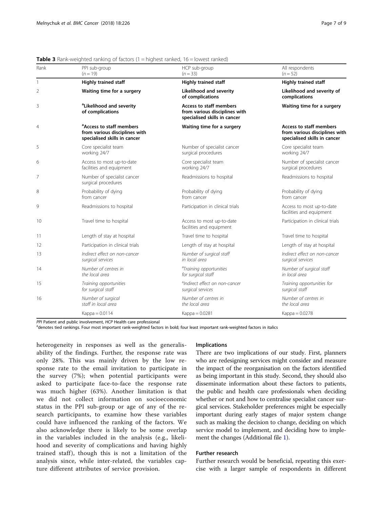| Rank           | PPI sub-group<br>$(n = 19)$                                                                           | HCP sub-group<br>$(n = 33)$                                                                            | All respondents<br>$(n = 52)$                                                                   |
|----------------|-------------------------------------------------------------------------------------------------------|--------------------------------------------------------------------------------------------------------|-------------------------------------------------------------------------------------------------|
| $\mathbf{1}$   | Highly trained staff                                                                                  | <b>Highly trained staff</b>                                                                            | <b>Highly trained staff</b>                                                                     |
| $\overline{2}$ | Waiting time for a surgery                                                                            | Likelihood and severity<br>of complications                                                            | Likelihood and severity of<br>complications                                                     |
| 3              | <sup>a</sup> Likelihood and severity<br>of complications                                              | <b>Access to staff members</b><br>from various disciplines with<br>specialised skills in cancer        | Waiting time for a surgery                                                                      |
| $\overline{4}$ | <sup>a</sup> Access to staff members<br>from various disciplines with<br>specialised skills in cancer | Waiting time for a surgery                                                                             | <b>Access to staff members</b><br>from various disciplines with<br>specialised skills in cancer |
| 5              | Core specialist team<br>working 24/7                                                                  | Number of specialist cancer<br>surgical procedures                                                     | Core specialist team<br>working 24/7                                                            |
| 6              | Access to most up-to-date<br>facilities and equipment                                                 | Core specialist team<br>working 24/7                                                                   | Number of specialist cancer<br>surgical procedures                                              |
| 7              | Number of specialist cancer<br>surgical procedures                                                    | Readmissions to hospital                                                                               | Readmissions to hospital                                                                        |
| 8              | Probability of dying<br>from cancer                                                                   | Probability of dying<br>from cancer                                                                    | Probability of dying<br>from cancer                                                             |
| 9              | Readmissions to hospital                                                                              | Participation in clinical trials                                                                       | Access to most up-to-date<br>facilities and equipment                                           |
| 10             | Travel time to hospital                                                                               | Access to most up-to-date<br>facilities and equipment                                                  | Participation in clinical trials                                                                |
| 11             | Length of stay at hospital                                                                            | Travel time to hospital                                                                                | Travel time to hospital                                                                         |
| 12             | Participation in clinical trials                                                                      | Length of stay at hospital                                                                             | Length of stay at hospital                                                                      |
| 13             | Indirect effect on non-cancer<br>surgical services                                                    | Number of surgical staff<br>in local area                                                              | Indirect effect on non-cancer<br>surgical services                                              |
| 14             | Number of centres in<br>the local area                                                                | <sup>a</sup> Training opportunities<br>Number of surgical staff<br>for surgical staff<br>in local area |                                                                                                 |
| 15             | Training opportunities<br>for surgical staff                                                          | alndirect effect on non-cancer<br>surgical services                                                    | Training opportunities for<br>surgical staff                                                    |
| 16             | Number of surgical<br>staff in local area                                                             | Number of centres in<br>the local area                                                                 | Number of centres in<br>the local area                                                          |
|                | Kappa = $0.0114$                                                                                      | Kappa = 0.0281                                                                                         | Kappa = $0.0278$                                                                                |

<span id="page-6-0"></span>**Table 3** Rank-weighted ranking of factors  $(1 =$  highest ranked,  $16 =$  lowest ranked)

PPI Patient and public involvement, HCP Health care professional

<sup>a</sup>denotes tied rankings. Four most important rank-weighted factors in bold; four least important rank-weighted factors in italics

heterogeneity in responses as well as the generalisability of the findings. Further, the response rate was only 28%. This was mainly driven by the low response rate to the email invitation to participate in the survey (7%); when potential participants were asked to participate face-to-face the response rate was much higher (63%). Another limitation is that we did not collect information on socioeconomic status in the PPI sub-group or age of any of the research participants, to examine how these variables could have influenced the ranking of the factors. We also acknowledge there is likely to be some overlap in the variables included in the analysis (e.g., likelihood and severity of complications and having highly trained staff), though this is not a limitation of the analysis since, while inter-related, the variables capture different attributes of service provision.

### Implications

There are two implications of our study. First, planners who are redesigning services might consider and measure the impact of the reorganisation on the factors identified as being important in this study. Second, they should also disseminate information about these factors to patients, the public and health care professionals when deciding whether or not and how to centralise specialist cancer surgical services. Stakeholder preferences might be especially important during early stages of major system change such as making the decision to change, deciding on which service model to implement, and deciding how to implement the changes (Additional file [1](#page-7-0)).

## Further research

Further research would be beneficial, repeating this exercise with a larger sample of respondents in different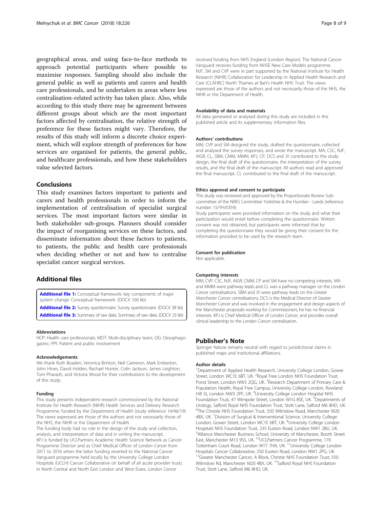<span id="page-7-0"></span>geographical areas, and using face-to-face methods to approach potential participants where possible to maximise responses. Sampling should also include the general public as well as patients and carers and health care professionals, and be undertaken in areas where less centralisation-related activity has taken place. Also, while according to this study there may be agreement between different groups about which are the most important factors affected by centralisation, the relative strength of preference for these factors might vary. Therefore, the results of this study will inform a discrete choice experiment, which will explore strength of preferences for how services are organised for patients, the general public, and healthcare professionals, and how these stakeholders value selected factors.

## Conclusions

This study examines factors important to patients and carers and health professionals in order to inform the implementation of centralisation of specialist surgical services. The most important factors were similar in both stakeholder sub-groups. Planners should consider the impact of reorganising services on these factors, and disseminate information about these factors to patients, to patients, the public and health care professionals when deciding whether or not and how to centralise specialist cancer surgical services.

## Additional files

[Additional file 1:](https://doi.org/10.1186/s12885-018-4137-8) Conceptual framework: key components of major system change. Conceptual framework. (DOCX 100 kb)

[Additional file 2:](https://doi.org/10.1186/s12885-018-4137-8) Survey questionnaire. Survey questionnaire. (DOCX 38 kb) [Additional file 3:](https://doi.org/10.1186/s12885-018-4137-8) Summary of raw data. Summary of raw data. (DOCX 23 kb)

#### Abbreviations

HCP: Health care professionals; MDT: Multi-disciplinary team; OG: Oesophagogastric; PPI: Patient and public involvement

#### Acknowledgements

We thank Ruth Boaden, Veronica Brinton, Neil Cameron, Mark Emberton, John Hines, David Holden, Rachael Hunter, Colin Jackson, James Leighton, Tom Pharaoh, and Victoria Wood for their contributions to the development of this study.

#### Funding

This study presents independent research commissioned by the National Institute for Health Research (NIHR) Health Services and Delivery Research Programme, funded by the Department of Health (study reference 14/46/19). The views expressed are those of the authors and not necessarily those of the NHS, the NIHR or the Department of Health.

The funding body had no role in the design of the study and collection, analysis, and interpretation of data and in writing the manuscript. KPJ is funded by UCLPartners Academic Health Science Network as Cancer Programme Director and as Chief Medical Officer of London Cancer from 2011 to 2016 when the latter funding reverted to the National Cancer Vanguard programme held locally by the University College London Hospitals (UCLH) Cancer Collaborative on behalf of all acute provider trusts in North Central and North East London and West Essex. London Cancer

received funding from NHS England (London Region). The National Cancer Vanguard receives funding from NHSE New Care Models programme. NJF, SM and CVP were in part supported by the National Institute for Health Research (NIHR) Collaboration for Leadership in Applied Health Research and Care (CLAHRC) North Thames at Bart's Health NHS Trust. The views expressed are those of the authors and not necessarily those of the NHS, the NIHR or the Department of Health.

#### Availability of data and materials

All data generated or analysed during this study are included in this published article and its supplementary information files.

#### Authors' contributions

MM, CVP and SM designed the study, drafted the questionnaire, collected and analysed the survey responses, and wrote the manuscript. MA, CSC, NJF, AIGR, CL, SBM, CMM, MMM, KPJ, CP, DCS and JV contributed to the study design, the final draft of the questionnaire, the interpretation of the survey results, and the final draft of the manuscript. All authors read and approved the final manuscript. CL contributed to the final draft of the manuscript.

#### Ethics approval and consent to participate

This study was reviewed and approved by the Proportionate Review Subcommittee of the NRES Committee Yorkshire & the Humber - Leeds (reference number: 15/YH/0359).

Study participants were provided information on the study and what their participation would entail before completing the questionnaire. Written consent was not obtained, but participants were informed that by completing the questionnaire they would be giving their consent for the information provided to be used by the research team.

## Consent for publication

Not applicable.

#### Competing interests

MM, CVP, CSC, NJF, AIGR, CMM, CP and SM have no competing interests. MA and MMM were pathway leads and CL was a pathway manager on the London Cancer centralisations. SBM and JV were pathway leads on the Greater Manchester Cancer centralisations. DCS is the Medical Director of Greater Manchester Cancer and was involved in the engagement and design aspects of the Manchester proposals working for Commissioners; he has no financial interests. KPJ is Chief Medical Officer of London Cancer, and provides overall clinical leadership to the London Cancer centralisation.

## Publisher's Note

Springer Nature remains neutral with regard to jurisdictional claims in published maps and institutional affiliations.

#### Author details

<sup>1</sup>Department of Applied Health Research, University College London, Gower Street, London WC1E 6BT, UK. <sup>2</sup> Royal Free London NHS Foundation Trust Pond Street, London NW3 2QG, UK. <sup>3</sup>Research Department of Primary Care & Population Health, Royal Free Campus, University College London, Rowland Hill St, London NW3 2PF, UK. <sup>4</sup>University College London Hospital NHS Foundation Trust, 47 Wimpole Street, London W1G 8SE, UK. <sup>5</sup>Departments of Urology, Salford Royal NHS Foundation Trust, Stott Lane, Salford M6 8HD, UK. 6 The Christie NHS Foundation Trust, 550 Wilmslow Road, Manchester M20 4BX, UK. <sup>7</sup> Division of Surgical & Interventional Science, University College London, Gower Street, London WC1E 6BT, UK. <sup>8</sup>University College London Hospitals NHS Foundation Trust, 235 Euston Road, London NW1 2BU, UK. <sup>9</sup> Alliance Manchester Business School, University of Manchester, Booth Street East, Manchester M13 9SS, UK. <sup>10</sup>UCLPartners Cancer Programme, 170 Tottenham Court Road, London W1T 7HA, UK.<sup>11</sup>University College London Hospitals Cancer Collaborative, 250 Euston Road, London NW1 2PG, UK. <sup>12</sup>Greater Manchester Cancer, A Block, Christie NHS Foundation Trust, 550 Wilmslow Rd, Manchester M20 4BX, UK. <sup>13</sup>Salford Royal NHS Foundation Trust, Stott Lane, Salford M6 8HD, UK.